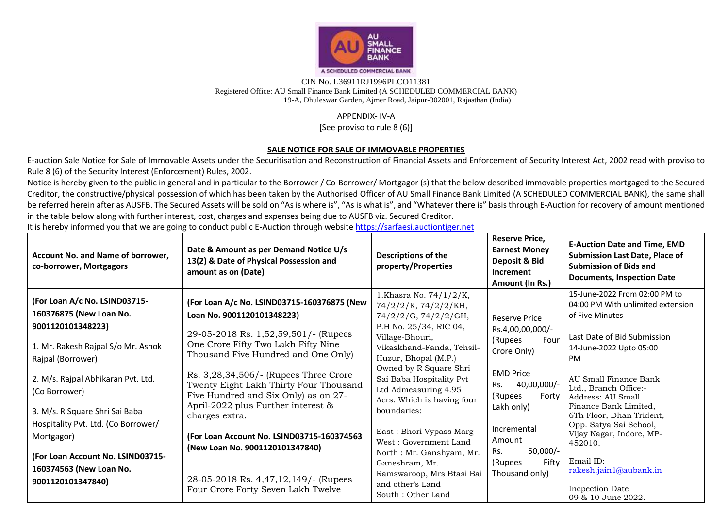

## CIN No. L36911RJ1996PLCO11381 Registered Office: AU Small Finance Bank Limited (A SCHEDULED COMMERCIAL BANK) 19-A, Dhuleswar Garden, Ajmer Road, Jaipur-302001, Rajasthan (India)

## APPENDIX- IV-A

[See proviso to rule 8 (6)]

## **SALE NOTICE FOR SALE OF IMMOVABLE PROPERTIES**

E-auction Sale Notice for Sale of Immovable Assets under the Securitisation and Reconstruction of Financial Assets and Enforcement of Security Interest Act, 2002 read with proviso to Rule 8 (6) of the Security Interest (Enforcement) Rules, 2002.

Notice is hereby given to the public in general and in particular to the Borrower / Co-Borrower/ Mortgagor (s) that the below described immovable properties mortgaged to the Secured Creditor, the constructive/physical possession of which has been taken by the Authorised Officer of AU Small Finance Bank Limited (A SCHEDULED COMMERCIAL BANK), the same shall be referred herein after as AUSFB. The Secured Assets will be sold on "As is where is", "As is what is", and "Whatever there is" basis through E-Auction for recovery of amount mentioned in the table below along with further interest, cost, charges and expenses being due to AUSFB viz. Secured Creditor.

It is hereby informed you that we are going to conduct public E-Auction through website https://sarfaesi.auctiontiger.net

| Account No. and Name of borrower,<br>co-borrower, Mortgagors                                                        | Date & Amount as per Demand Notice U/s<br>13(2) & Date of Physical Possession and<br>amount as on (Date)                                                                                                                  | <b>Descriptions of the</b><br>property/Properties                                                                                                | <b>Reserve Price,</b><br><b>Earnest Money</b><br>Deposit & Bid<br>Increment<br>Amount (In Rs.) | <b>E-Auction Date and Time, EMD</b><br><b>Submission Last Date, Place of</b><br><b>Submission of Bids and</b><br><b>Documents, Inspection Date</b> |
|---------------------------------------------------------------------------------------------------------------------|---------------------------------------------------------------------------------------------------------------------------------------------------------------------------------------------------------------------------|--------------------------------------------------------------------------------------------------------------------------------------------------|------------------------------------------------------------------------------------------------|----------------------------------------------------------------------------------------------------------------------------------------------------|
| (For Loan A/c No. LSIND03715-<br>160376875 (New Loan No.<br>9001120101348223)<br>1. Mr. Rakesh Rajpal S/o Mr. Ashok | (For Loan A/c No. LSIND03715-160376875 (New<br>Loan No. 9001120101348223)<br>29-05-2018 Rs. 1,52,59,501/- (Rupees<br>One Crore Fifty Two Lakh Fifty Nine                                                                  | 1.Khasra No. 74/1/2/K,<br>74/2/2/K, 74/2/2/KH,<br>74/2/2/G, 74/2/2/GH,<br>P.H No. 25/34, RIC 04,<br>Village-Bhouri,<br>Vikaskhand-Fanda, Tehsil- | <b>Reserve Price</b><br>Rs.4,00,00,000/-<br>(Rupees<br>Four<br>Crore Only)                     | 15-June-2022 From 02:00 PM to<br>04:00 PM With unlimited extension<br>of Five Minutes<br>Last Date of Bid Submission<br>14-June-2022 Upto 05:00    |
| Rajpal (Borrower)<br>2. M/s. Rajpal Abhikaran Pvt. Ltd.<br>(Co Borrower)<br>3. M/s. R Square Shri Sai Baba          | Thousand Five Hundred and One Only)<br>Rs. 3,28,34,506/- (Rupees Three Crore<br>Twenty Eight Lakh Thirty Four Thousand<br>Five Hundred and Six Only) as on 27-<br>April-2022 plus Further interest $\&$<br>charges extra. | Huzur, Bhopal (M.P.)<br>Owned by R Square Shri<br>Sai Baba Hospitality Pvt<br>Ltd Admeasuring 4.95<br>Acrs. Which is having four<br>boundaries:  | <b>EMD Price</b><br>40,00,000/-<br>Rs.<br>(Rupees<br>Forty<br>Lakh only)                       | PM<br>AU Small Finance Bank<br>Ltd., Branch Office:-<br>Address: AU Small<br>Finance Bank Limited,<br>6Th Floor, Dhan Trident,                     |
| Hospitality Pvt. Ltd. (Co Borrower/<br>Mortgagor)<br>(For Loan Account No. LSIND03715-                              | (For Loan Account No. LSIND03715-160374563<br>(New Loan No. 9001120101347840)                                                                                                                                             | East: Bhori Vypass Marg<br>West: Government Land<br>North : Mr. Ganshyam, Mr.<br>Ganeshram, Mr.                                                  | Incremental<br>Amount<br>$50,000/-$<br>Rs.<br>Fifty<br>(Rupees                                 | Opp. Satya Sai School,<br>Vijay Nagar, Indore, MP-<br>452010.<br>Email ID:                                                                         |
| 160374563 (New Loan No.<br>9001120101347840)                                                                        | 28-05-2018 Rs. 4,47,12,149/- (Rupees<br>Four Crore Forty Seven Lakh Twelve                                                                                                                                                | Ramswaroop, Mrs Btasi Bai<br>and other's Land<br>South : Other Land                                                                              | Thousand only)                                                                                 | rakesh.jain1@aubank.in<br>Incpection Date<br>09 & 10 June 2022.                                                                                    |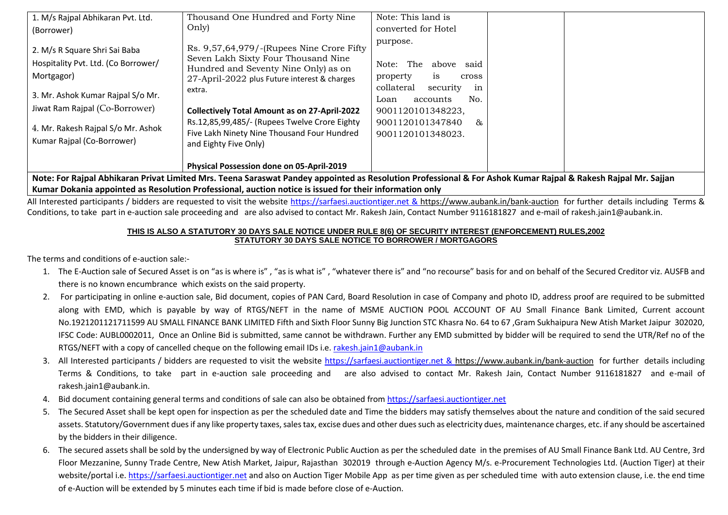| 1. M/s Rajpal Abhikaran Pvt. Ltd.                                                                                                                                                               | Thousand One Hundred and Forty Nine                                                                                                                                                                                                                                                                                                        | Note: This land is                                                                                                                                                                                |
|-------------------------------------------------------------------------------------------------------------------------------------------------------------------------------------------------|--------------------------------------------------------------------------------------------------------------------------------------------------------------------------------------------------------------------------------------------------------------------------------------------------------------------------------------------|---------------------------------------------------------------------------------------------------------------------------------------------------------------------------------------------------|
| (Borrower)                                                                                                                                                                                      | Only)                                                                                                                                                                                                                                                                                                                                      | converted for Hotel                                                                                                                                                                               |
| 2. M/s R Square Shri Sai Baba<br>Hospitality Pvt. Ltd. (Co Borrower/<br>Mortgagor)<br>3. Mr. Ashok Kumar Rajpal S/o Mr.<br>Jiwat Ram Rajpal (Co-Borrower)<br>4. Mr. Rakesh Rajpal S/o Mr. Ashok | Rs. 9,57,64,979/-(Rupees Nine Crore Fifty<br>Seven Lakh Sixty Four Thousand Nine<br>Hundred and Seventy Nine Only) as on<br>27-April-2022 plus Future interest & charges<br>extra.<br><b>Collectively Total Amount as on 27-April-2022</b><br>Rs.12,85,99,485/- (Rupees Twelve Crore Eighty<br>Five Lakh Ninety Nine Thousand Four Hundred | purpose.<br>The<br>said<br>Note:<br>above<br>property<br>1S<br>cross<br>collateral<br>security<br>in<br>No.<br>accounts<br>Loan<br>9001120101348223,<br>9001120101347840<br>&<br>9001120101348023 |
| Kumar Rajpal (Co-Borrower)                                                                                                                                                                      | and Eighty Five Only)                                                                                                                                                                                                                                                                                                                      |                                                                                                                                                                                                   |
|                                                                                                                                                                                                 | Physical Possession done on 05-April-2019                                                                                                                                                                                                                                                                                                  |                                                                                                                                                                                                   |

**Note: For Rajpal Abhikaran Privat Limited Mrs. Teena Saraswat Pandey appointed as Resolution Professional & For Ashok Kumar Rajpal & Rakesh Rajpal Mr. Sajjan Kumar Dokania appointed as Resolution Professional, auction notice is issued for their information only**

All Interested participants / bidders are requested to visit the website [https://sarfaesi.auctiontiger.net](https://sarfaesi.auctiontiger.net/) & https://www.aubank.in/bank-auction for further details including Terms & Conditions, to take part in e-auction sale proceeding and are also advised to contact Mr. Rakesh Jain, Contact Number 9116181827 and e-mail of rakesh.jain1@aubank.in.

## **THIS IS ALSO A STATUTORY 30 DAYS SALE NOTICE UNDER RULE 8(6) OF SECURITY INTEREST (ENFORCEMENT) RULES,2002 STATUTORY 30 DAYS SALE NOTICE TO BORROWER / MORTGAGORS**

The terms and conditions of e-auction sale:-

- 1. The E-Auction sale of Secured Asset is on "as is where is" , "as is what is" , "whatever there is" and "no recourse" basis for and on behalf of the Secured Creditor viz. AUSFB and there is no known encumbrance which exists on the said property.
- 2. For participating in online e-auction sale, Bid document, copies of PAN Card, Board Resolution in case of Company and photo ID, address proof are required to be submitted along with EMD, which is payable by way of RTGS/NEFT in the name of MSME AUCTION POOL ACCOUNT OF AU Small Finance Bank Limited, Current account No.1921201121711599 AU SMALL FINANCE BANK LIMITED Fifth and Sixth Floor Sunny Big Junction STC Khasra No. 64 to 67 ,Gram Sukhaipura New Atish Market Jaipur 302020, IFSC Code: AUBL0002011, Once an Online Bid is submitted, same cannot be withdrawn. Further any EMD submitted by bidder will be required to send the UTR/Ref no of the RTGS/NEFT with a copy of cancelled cheque on the following email IDs i.e[. rakesh.jain1@aubank.in](mailto:rakesh.jain1@aubank.in)
- 3. All Interested participants / bidders are requested to visit the website [https://sarfaesi.auctiontiger.net](https://sarfaesi.auctiontiger.net/) & https://www.aubank.in/bank-auction for further details including Terms & Conditions, to take part in e-auction sale proceeding and are also advised to contact Mr. Rakesh Jain, Contact Number 9116181827 and e-mail of rakesh.jain1@aubank.in.
- 4. Bid document containing general terms and conditions of sale can also be obtained fro[m https://sarfaesi.auctiontiger.net](https://edelweissarc.auctiontiger.net/)
- 5. The Secured Asset shall be kept open for inspection as per the scheduled date and Time the bidders may satisfy themselves about the nature and condition of the said secured assets. Statutory/Government dues if any like property taxes, sales tax, excise dues and other dues such as electricity dues, maintenance charges, etc. if any should be ascertained by the bidders in their diligence.
- 6. The secured assets shall be sold by the undersigned by way of Electronic Public Auction as per the scheduled date in the premises of AU Small Finance Bank Ltd. AU Centre, 3rd Floor Mezzanine, Sunny Trade Centre, New Atish Market, Jaipur, Rajasthan 302019 through e-Auction Agency M/s. e-Procurement Technologies Ltd. (Auction Tiger) at their website/portal i.e[. https://sarfaesi.auctiontiger.net](https://sarfaesi.auctiontiger.net/) and also on Auction Tiger Mobile App as per time given as per scheduled time with auto extension clause, i.e. the end time of e-Auction will be extended by 5 minutes each time if bid is made before close of e-Auction.